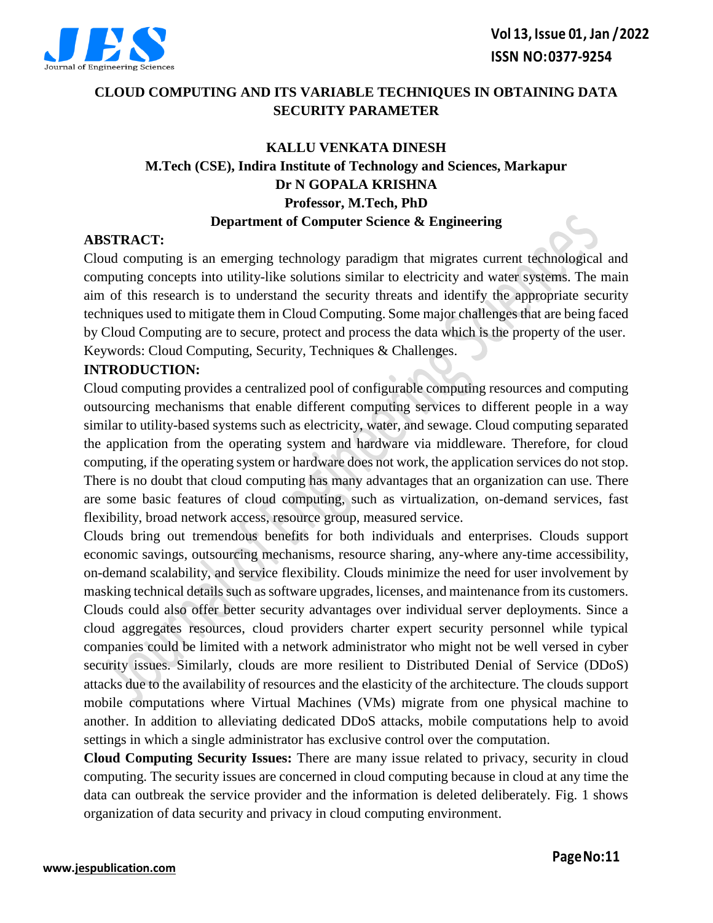

## **CLOUD COMPUTING AND ITS VARIABLE TECHNIQUES IN OBTAINING DATA SECURITY PARAMETER**

## **KALLU VENKATA DINESH M.Tech (CSE), Indira Institute of Technology and Sciences, Markapur Dr N GOPALA KRISHNA Professor, M.Tech, PhD Department of Computer Science & Engineering**

#### **ABSTRACT:**

Cloud computing is an emerging technology paradigm that migrates current technological and computing concepts into utility-like solutions similar to electricity and water systems. The main aim of this research is to understand the security threats and identify the appropriate security techniques used to mitigate them in Cloud Computing. Some major challenges that are being faced by Cloud Computing are to secure, protect and process the data which is the property of the user. Keywords: Cloud Computing, Security, Techniques & Challenges.

#### **INTRODUCTION:**

Cloud computing provides a centralized pool of configurable computing resources and computing outsourcing mechanisms that enable different computing services to different people in a way similar to utility-based systems such as electricity, water, and sewage. Cloud computing separated the application from the operating system and hardware via middleware. Therefore, for cloud computing, if the operating system or hardware does not work, the application services do not stop. There is no doubt that cloud computing has many advantages that an organization can use. There are some basic features of cloud computing, such as virtualization, on-demand services, fast flexibility, broad network access, resource group, measured service.

Clouds bring out tremendous benefits for both individuals and enterprises. Clouds support economic savings, outsourcing mechanisms, resource sharing, any-where any-time accessibility, on-demand scalability, and service flexibility. Clouds minimize the need for user involvement by masking technical details such as software upgrades, licenses, and maintenance from its customers. Clouds could also offer better security advantages over individual server deployments. Since a cloud aggregates resources, cloud providers charter expert security personnel while typical companies could be limited with a network administrator who might not be well versed in cyber security issues. Similarly, clouds are more resilient to Distributed Denial of Service (DDoS) attacks due to the availability of resources and the elasticity of the architecture. The clouds support mobile computations where Virtual Machines (VMs) migrate from one physical machine to another. In addition to alleviating dedicated DDoS attacks, mobile computations help to avoid settings in which a single administrator has exclusive control over the computation.

**Cloud Computing Security Issues:** There are many issue related to privacy, security in cloud computing. The security issues are concerned in cloud computing because in cloud at any time the data can outbreak the service provider and the information is deleted deliberately. Fig. 1 shows organization of data security and privacy in cloud computing environment.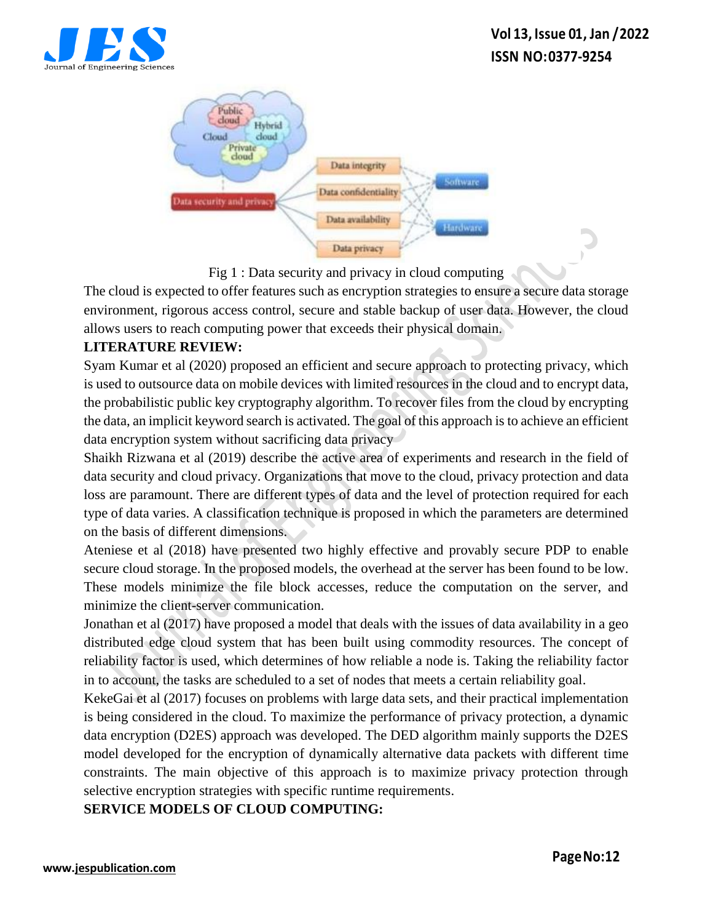



The cloud is expected to offer features such as encryption strategies to ensure a secure data storage environment, rigorous access control, secure and stable backup of user data. However, the cloud allows users to reach computing power that exceeds their physical domain.

## **LITERATURE REVIEW:**

Syam Kumar et al (2020) proposed an efficient and secure approach to protecting privacy, which is used to outsource data on mobile devices with limited resources in the cloud and to encrypt data, the probabilistic public key cryptography algorithm. To recover files from the cloud by encrypting the data, an implicit keyword search is activated. The goal of this approach is to achieve an efficient data encryption system without sacrificing data privacy

Shaikh Rizwana et al (2019) describe the active area of experiments and research in the field of data security and cloud privacy. Organizations that move to the cloud, privacy protection and data loss are paramount. There are different types of data and the level of protection required for each type of data varies. A classification technique is proposed in which the parameters are determined on the basis of different dimensions.

Ateniese et al (2018) have presented two highly effective and provably secure PDP to enable secure cloud storage. In the proposed models, the overhead at the server has been found to be low. These models minimize the file block accesses, reduce the computation on the server, and minimize the client-server communication.

Jonathan et al (2017) have proposed a model that deals with the issues of data availability in a geo distributed edge cloud system that has been built using commodity resources. The concept of reliability factor is used, which determines of how reliable a node is. Taking the reliability factor in to account, the tasks are scheduled to a set of nodes that meets a certain reliability goal.

KekeGai et al (2017) focuses on problems with large data sets, and their practical implementation is being considered in the cloud. To maximize the performance of privacy protection, a dynamic data encryption (D2ES) approach was developed. The DED algorithm mainly supports the D2ES model developed for the encryption of dynamically alternative data packets with different time constraints. The main objective of this approach is to maximize privacy protection through selective encryption strategies with specific runtime requirements.

## **SERVICE MODELS OF CLOUD COMPUTING:**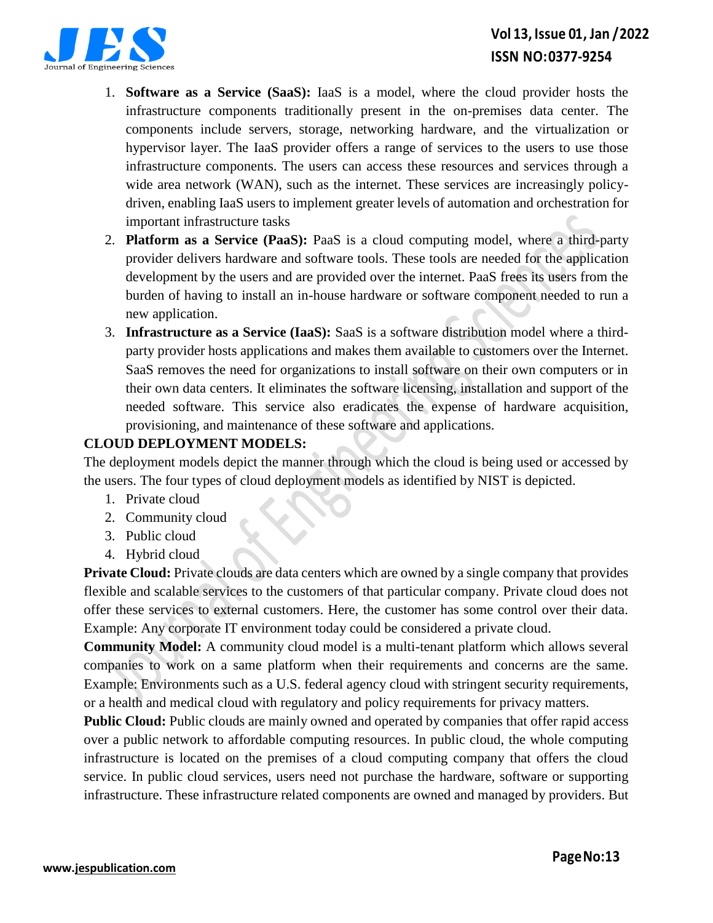

# **Vol 13, Issue 01, Jan /2022 ISSN NO:0377-9254**

- 1. **Software as a Service (SaaS):** IaaS is a model, where the cloud provider hosts the infrastructure components traditionally present in the on-premises data center. The components include servers, storage, networking hardware, and the virtualization or hypervisor layer. The IaaS provider offers a range of services to the users to use those infrastructure components. The users can access these resources and services through a wide area network (WAN), such as the internet. These services are increasingly policydriven, enabling IaaS users to implement greater levels of automation and orchestration for important infrastructure tasks
- 2. **Platform as a Service (PaaS):** PaaS is a cloud computing model, where a third-party provider delivers hardware and software tools. These tools are needed for the application development by the users and are provided over the internet. PaaS frees its users from the burden of having to install an in-house hardware or software component needed to run a new application.
- 3. **Infrastructure as a Service (IaaS):** SaaS is a software distribution model where a thirdparty provider hosts applications and makes them available to customers over the Internet. SaaS removes the need for organizations to install software on their own computers or in their own data centers. It eliminates the software licensing, installation and support of the needed software. This service also eradicates the expense of hardware acquisition, provisioning, and maintenance of these software and applications.

## **CLOUD DEPLOYMENT MODELS:**

The deployment models depict the manner through which the cloud is being used or accessed by the users. The four types of cloud deployment models as identified by NIST is depicted.

- 1. Private cloud
- 2. Community cloud
- 3. Public cloud
- 4. Hybrid cloud

**Private Cloud:** Private clouds are data centers which are owned by a single company that provides flexible and scalable services to the customers of that particular company. Private cloud does not offer these services to external customers. Here, the customer has some control over their data. Example: Any corporate IT environment today could be considered a private cloud.

**Community Model:** A community cloud model is a multi-tenant platform which allows several companies to work on a same platform when their requirements and concerns are the same. Example: Environments such as a U.S. federal agency cloud with stringent security requirements, or a health and medical cloud with regulatory and policy requirements for privacy matters.

**Public Cloud:** Public clouds are mainly owned and operated by companies that offer rapid access over a public network to affordable computing resources. In public cloud, the whole computing infrastructure is located on the premises of a cloud computing company that offers the cloud service. In public cloud services, users need not purchase the hardware, software or supporting infrastructure. These infrastructure related components are owned and managed by providers. But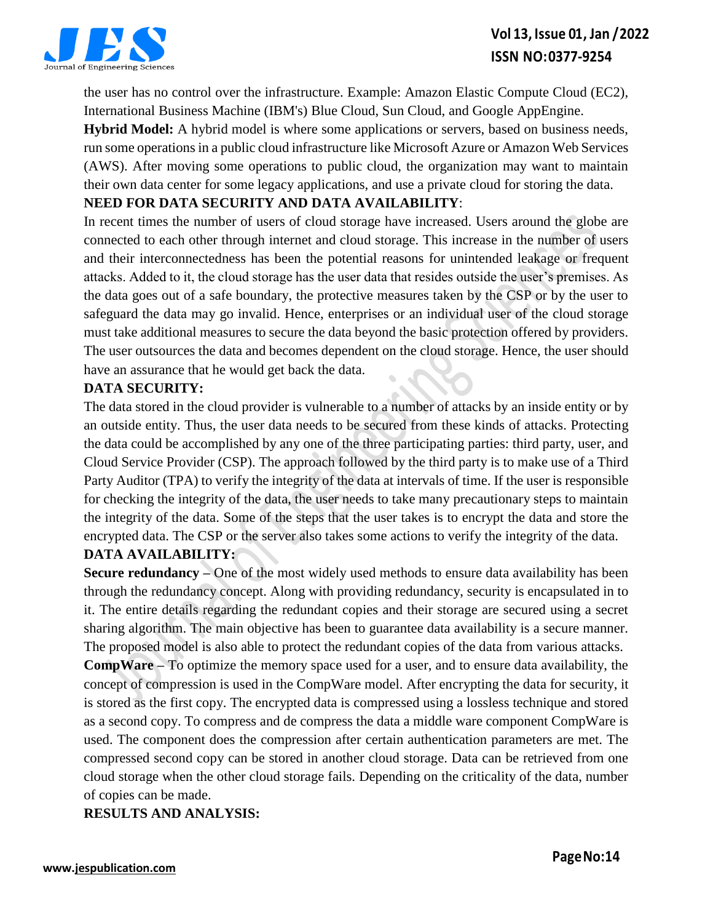

the user has no control over the infrastructure. Example: Amazon Elastic Compute Cloud (EC2), International Business Machine (IBM's) Blue Cloud, Sun Cloud, and Google AppEngine.

**Hybrid Model:** A hybrid model is where some applications or servers, based on business needs, run some operations in a public cloud infrastructure like Microsoft Azure or Amazon Web Services (AWS). After moving some operations to public cloud, the organization may want to maintain their own data center for some legacy applications, and use a private cloud for storing the data.

#### **NEED FOR DATA SECURITY AND DATA AVAILABILITY**:

In recent times the number of users of cloud storage have increased. Users around the globe are connected to each other through internet and cloud storage. This increase in the number of users and their interconnectedness has been the potential reasons for unintended leakage or frequent attacks. Added to it, the cloud storage has the user data that resides outside the user's premises. As the data goes out of a safe boundary, the protective measures taken by the CSP or by the user to safeguard the data may go invalid. Hence, enterprises or an individual user of the cloud storage must take additional measures to secure the data beyond the basic protection offered by providers. The user outsources the data and becomes dependent on the cloud storage. Hence, the user should have an assurance that he would get back the data.

#### **DATA SECURITY:**

The data stored in the cloud provider is vulnerable to a number of attacks by an inside entity or by an outside entity. Thus, the user data needs to be secured from these kinds of attacks. Protecting the data could be accomplished by any one of the three participating parties: third party, user, and Cloud Service Provider (CSP). The approach followed by the third party is to make use of a Third Party Auditor (TPA) to verify the integrity of the data at intervals of time. If the user is responsible for checking the integrity of the data, the user needs to take many precautionary steps to maintain the integrity of the data. Some of the steps that the user takes is to encrypt the data and store the encrypted data. The CSP or the server also takes some actions to verify the integrity of the data.

## **DATA AVAILABILITY:**

**Secure redundancy –** One of the most widely used methods to ensure data availability has been through the redundancy concept. Along with providing redundancy, security is encapsulated in to it. The entire details regarding the redundant copies and their storage are secured using a secret sharing algorithm. The main objective has been to guarantee data availability is a secure manner. The proposed model is also able to protect the redundant copies of the data from various attacks.

**CompWare –** To optimize the memory space used for a user, and to ensure data availability, the concept of compression is used in the CompWare model. After encrypting the data for security, it is stored as the first copy. The encrypted data is compressed using a lossless technique and stored as a second copy. To compress and de compress the data a middle ware component CompWare is used. The component does the compression after certain authentication parameters are met. The compressed second copy can be stored in another cloud storage. Data can be retrieved from one cloud storage when the other cloud storage fails. Depending on the criticality of the data, number of copies can be made.

**RESULTS AND ANALYSIS:**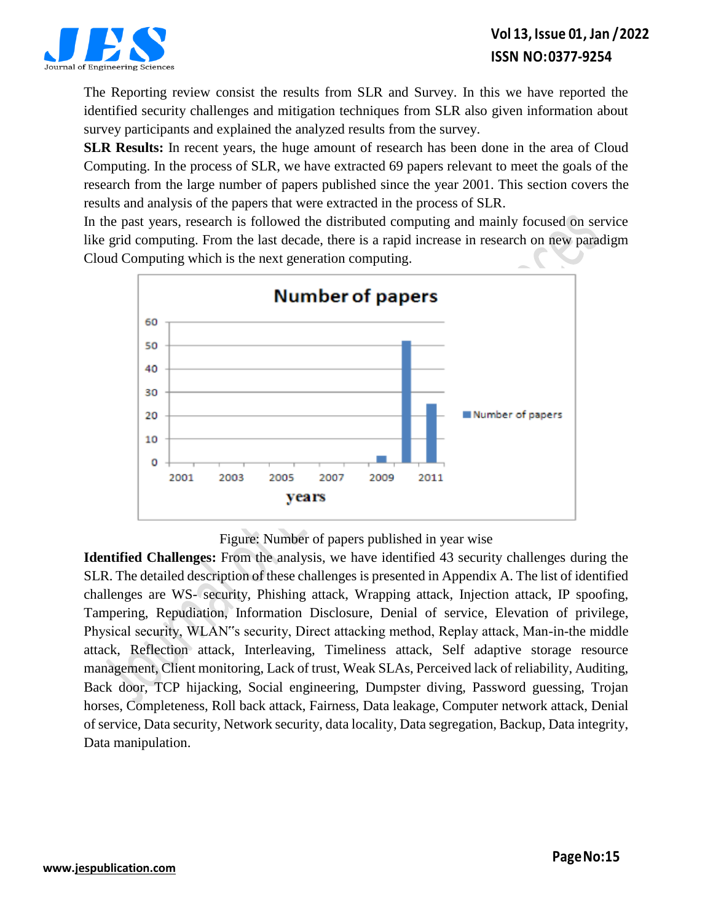

The Reporting review consist the results from SLR and Survey. In this we have reported the identified security challenges and mitigation techniques from SLR also given information about survey participants and explained the analyzed results from the survey.

**SLR Results:** In recent years, the huge amount of research has been done in the area of Cloud Computing. In the process of SLR, we have extracted 69 papers relevant to meet the goals of the research from the large number of papers published since the year 2001. This section covers the results and analysis of the papers that were extracted in the process of SLR.

In the past years, research is followed the distributed computing and mainly focused on service like grid computing. From the last decade, there is a rapid increase in research on new paradigm Cloud Computing which is the next generation computing.



Figure: Number of papers published in year wise

**Identified Challenges:** From the analysis, we have identified 43 security challenges during the SLR. The detailed description of these challenges is presented in Appendix A. The list of identified challenges are WS- security, Phishing attack, Wrapping attack, Injection attack, IP spoofing, Tampering, Repudiation, Information Disclosure, Denial of service, Elevation of privilege, Physical security, WLAN"s security, Direct attacking method, Replay attack, Man-in-the middle attack, Reflection attack, Interleaving, Timeliness attack, Self adaptive storage resource management, Client monitoring, Lack of trust, Weak SLAs, Perceived lack of reliability, Auditing, Back door, TCP hijacking, Social engineering, Dumpster diving, Password guessing, Trojan horses, Completeness, Roll back attack, Fairness, Data leakage, Computer network attack, Denial of service, Data security, Network security, data locality, Data segregation, Backup, Data integrity, Data manipulation.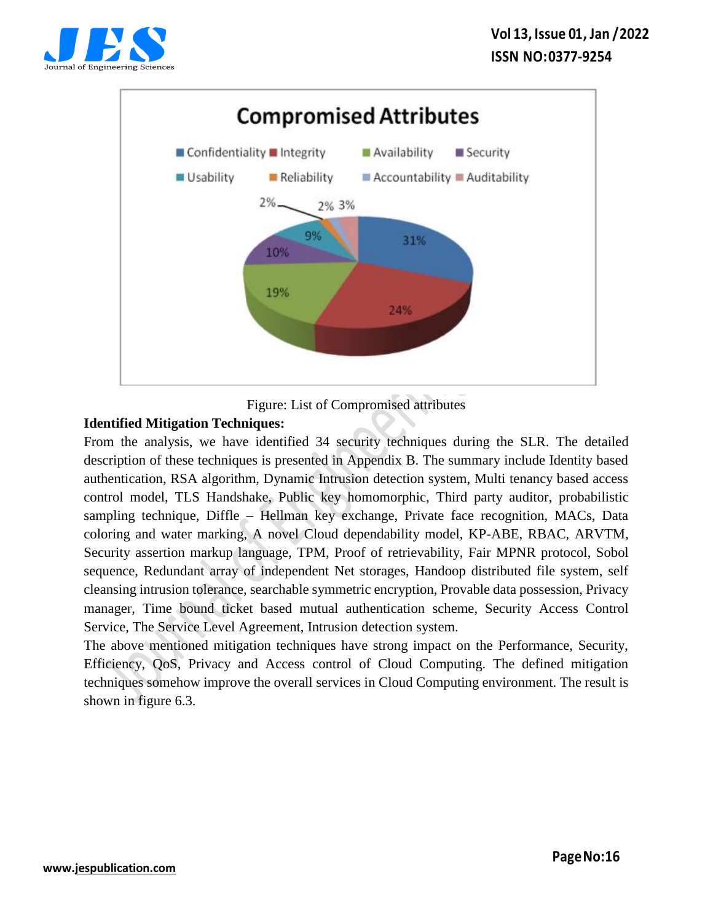



Figure: List of Compromised attributes

## **Identified Mitigation Techniques:**

From the analysis, we have identified 34 security techniques during the SLR. The detailed description of these techniques is presented in Appendix B. The summary include Identity based authentication, RSA algorithm, Dynamic Intrusion detection system, Multi tenancy based access control model, TLS Handshake, Public key homomorphic, Third party auditor, probabilistic sampling technique, Diffle – Hellman key exchange, Private face recognition, MACs, Data coloring and water marking, A novel Cloud dependability model, KP-ABE, RBAC, ARVTM, Security assertion markup language, TPM, Proof of retrievability, Fair MPNR protocol, Sobol sequence, Redundant array of independent Net storages, Handoop distributed file system, self cleansing intrusion tolerance, searchable symmetric encryption, Provable data possession, Privacy manager, Time bound ticket based mutual authentication scheme, Security Access Control Service, The Service Level Agreement, Intrusion detection system.

The above mentioned mitigation techniques have strong impact on the Performance, Security, Efficiency, QoS, Privacy and Access control of Cloud Computing. The defined mitigation techniques somehow improve the overall services in Cloud Computing environment. The result is shown in figure 6.3.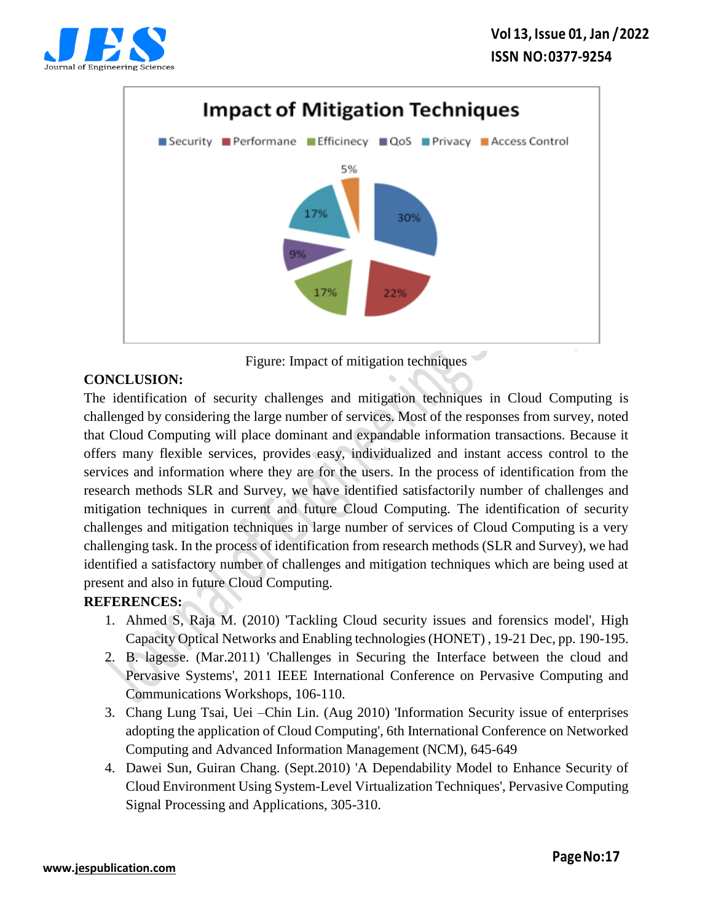





## **CONCLUSION:**

The identification of security challenges and mitigation techniques in Cloud Computing is challenged by considering the large number of services. Most of the responses from survey, noted that Cloud Computing will place dominant and expandable information transactions. Because it offers many flexible services, provides easy, individualized and instant access control to the services and information where they are for the users. In the process of identification from the research methods SLR and Survey, we have identified satisfactorily number of challenges and mitigation techniques in current and future Cloud Computing. The identification of security challenges and mitigation techniques in large number of services of Cloud Computing is a very challenging task. In the process of identification from research methods (SLR and Survey), we had identified a satisfactory number of challenges and mitigation techniques which are being used at present and also in future Cloud Computing.

## **REFERENCES:**

- 1. Ahmed S, Raja M. (2010) 'Tackling Cloud security issues and forensics model', High Capacity Optical Networks and Enabling technologies (HONET) , 19-21 Dec, pp. 190-195.
- 2. B. lagesse. (Mar.2011) 'Challenges in Securing the Interface between the cloud and Pervasive Systems', 2011 IEEE International Conference on Pervasive Computing and Communications Workshops, 106-110.
- 3. Chang Lung Tsai, Uei –Chin Lin. (Aug 2010) 'Information Security issue of enterprises adopting the application of Cloud Computing', 6th International Conference on Networked Computing and Advanced Information Management (NCM), 645-649
- 4. Dawei Sun, Guiran Chang. (Sept.2010) 'A Dependability Model to Enhance Security of Cloud Environment Using System-Level Virtualization Techniques', Pervasive Computing Signal Processing and Applications, 305-310.